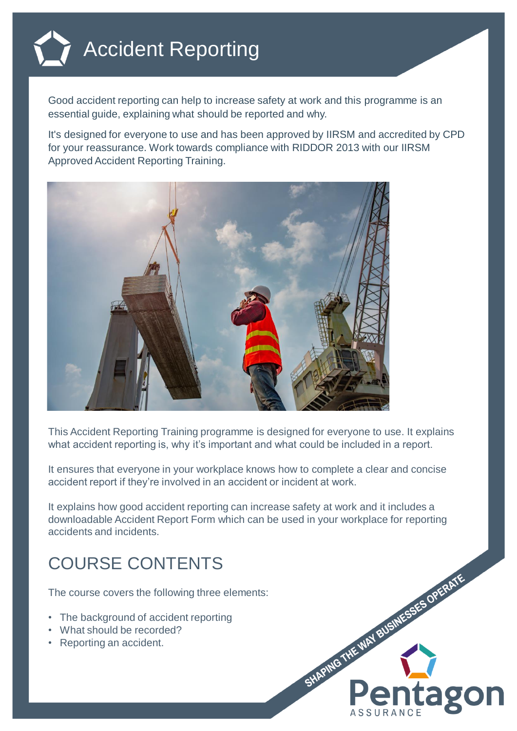

Good accident reporting can help to increase safety at work and this programme is an essential guide, explaining what should be reported and why.

It's designed for everyone to use and has been approved by IIRSM and accredited by CPD for your reassurance. Work towards compliance with RIDDOR 2013 with our IIRSM Approved Accident Reporting Training.



This Accident Reporting Training programme is designed for everyone to use. It explains what accident reporting is, why it's important and what could be included in a report.

It ensures that everyone in your workplace knows how to complete a clear and concise accident report if they're involved in an accident or incident at work.

It explains how good accident reporting can increase safety at work and it includes a downloadable Accident Report Form which can be used in your workplace for reporting accidents and incidents.

## COURSE CONTENTS

The course covers the following three elements:

- The background of accident reporting
- What should be recorded?
- Reporting an accident.